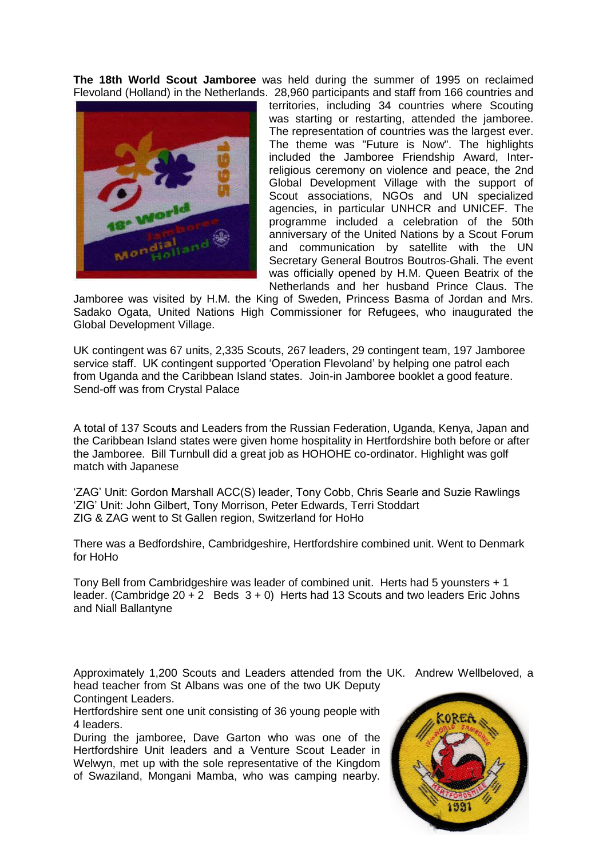**The 18th World Scout Jamboree** was held during the summer of 1995 on reclaimed Flevoland (Holland) in the Netherlands. 28,960 participants and staff from 166 countries and



territories, including 34 countries where Scouting was starting or restarting, attended the jamboree. The representation of countries was the largest ever. The theme was "Future is Now". The highlights included the Jamboree Friendship Award, Interreligious ceremony on violence and peace, the 2nd Global Development Village with the support of Scout associations, NGOs and UN specialized agencies, in particular UNHCR and UNICEF. The programme included a celebration of the 50th anniversary of the United Nations by a Scout Forum and communication by satellite with the UN Secretary General Boutros Boutros-Ghali. The event was officially opened by H.M. Queen Beatrix of the Netherlands and her husband Prince Claus. The

Jamboree was visited by H.M. the King of Sweden, Princess Basma of Jordan and Mrs. Sadako Ogata, United Nations High Commissioner for Refugees, who inaugurated the Global Development Village.

UK contingent was 67 units, 2,335 Scouts, 267 leaders, 29 contingent team, 197 Jamboree service staff. UK contingent supported 'Operation Flevoland' by helping one patrol each from Uganda and the Caribbean Island states. Join-in Jamboree booklet a good feature. Send-off was from Crystal Palace

A total of 137 Scouts and Leaders from the Russian Federation, Uganda, Kenya, Japan and the Caribbean Island states were given home hospitality in Hertfordshire both before or after the Jamboree. Bill Turnbull did a great job as HOHOHE co-ordinator. Highlight was golf match with Japanese

'ZAG' Unit: Gordon Marshall ACC(S) leader, Tony Cobb, Chris Searle and Suzie Rawlings 'ZIG' Unit: John Gilbert, Tony Morrison, Peter Edwards, Terri Stoddart ZIG & ZAG went to St Gallen region, Switzerland for HoHo

There was a Bedfordshire, Cambridgeshire, Hertfordshire combined unit. Went to Denmark for HoHo

Tony Bell from Cambridgeshire was leader of combined unit. Herts had 5 younsters + 1 leader. (Cambridge  $20 + 2$  Beds  $3 + 0$ ) Herts had 13 Scouts and two leaders Eric Johns and Niall Ballantyne

Approximately 1,200 Scouts and Leaders attended from the UK. Andrew Wellbeloved, a head teacher from St Albans was one of the two UK Deputy Contingent Leaders.

Hertfordshire sent one unit consisting of 36 young people with 4 leaders.

During the jamboree, Dave Garton who was one of the Hertfordshire Unit leaders and a Venture Scout Leader in Welwyn, met up with the sole representative of the Kingdom of Swaziland, Mongani Mamba, who was camping nearby.